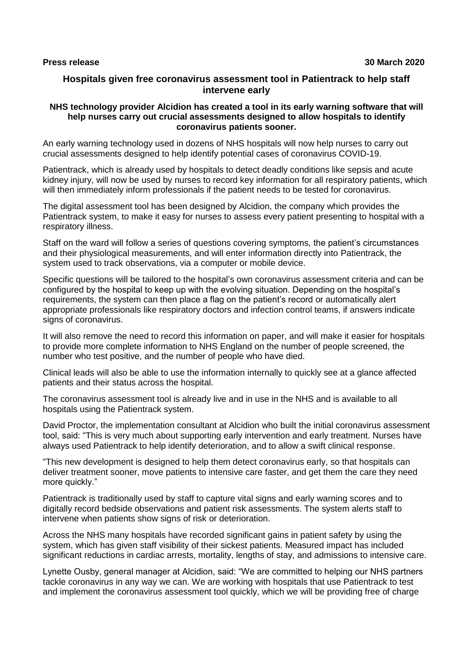# **Hospitals given free coronavirus assessment tool in Patientrack to help staff intervene early**

#### **NHS technology provider Alcidion has created a tool in its early warning software that will help nurses carry out crucial assessments designed to allow hospitals to identify coronavirus patients sooner.**

An early warning technology used in dozens of NHS hospitals will now help nurses to carry out crucial assessments designed to help identify potential cases of coronavirus COVID-19.

Patientrack, which is already used by hospitals to detect deadly conditions like sepsis and acute kidney injury, will now be used by nurses to record key information for all respiratory patients, which will then immediately inform professionals if the patient needs to be tested for coronavirus.

The digital assessment tool has been designed by Alcidion, the company which provides the Patientrack system, to make it easy for nurses to assess every patient presenting to hospital with a respiratory illness.

Staff on the ward will follow a series of questions covering symptoms, the patient's circumstances and their physiological measurements, and will enter information directly into Patientrack, the system used to track observations, via a computer or mobile device.

Specific questions will be tailored to the hospital's own coronavirus assessment criteria and can be configured by the hospital to keep up with the evolving situation. Depending on the hospital's requirements, the system can then place a flag on the patient's record or automatically alert appropriate professionals like respiratory doctors and infection control teams, if answers indicate signs of coronavirus.

It will also remove the need to record this information on paper, and will make it easier for hospitals to provide more complete information to NHS England on the number of people screened, the number who test positive, and the number of people who have died.

Clinical leads will also be able to use the information internally to quickly see at a glance affected patients and their status across the hospital.

The coronavirus assessment tool is already live and in use in the NHS and is available to all hospitals using the Patientrack system.

David Proctor, the implementation consultant at Alcidion who built the initial coronavirus assessment tool, said: "This is very much about supporting early intervention and early treatment. Nurses have always used Patientrack to help identify deterioration, and to allow a swift clinical response.

"This new development is designed to help them detect coronavirus early, so that hospitals can deliver treatment sooner, move patients to intensive care faster, and get them the care they need more quickly."

Patientrack is traditionally used by staff to capture vital signs and early warning scores and to digitally record bedside observations and patient risk assessments. The system alerts staff to intervene when patients show signs of risk or deterioration.

Across the NHS many hospitals have recorded significant gains in patient safety by using the system, which has given staff visibility of their sickest patients. Measured impact has included significant reductions in cardiac arrests, mortality, lengths of stay, and admissions to intensive care.

Lynette Ousby, general manager at Alcidion, said: "We are committed to helping our NHS partners tackle coronavirus in any way we can. We are working with hospitals that use Patientrack to test and implement the coronavirus assessment tool quickly, which we will be providing free of charge